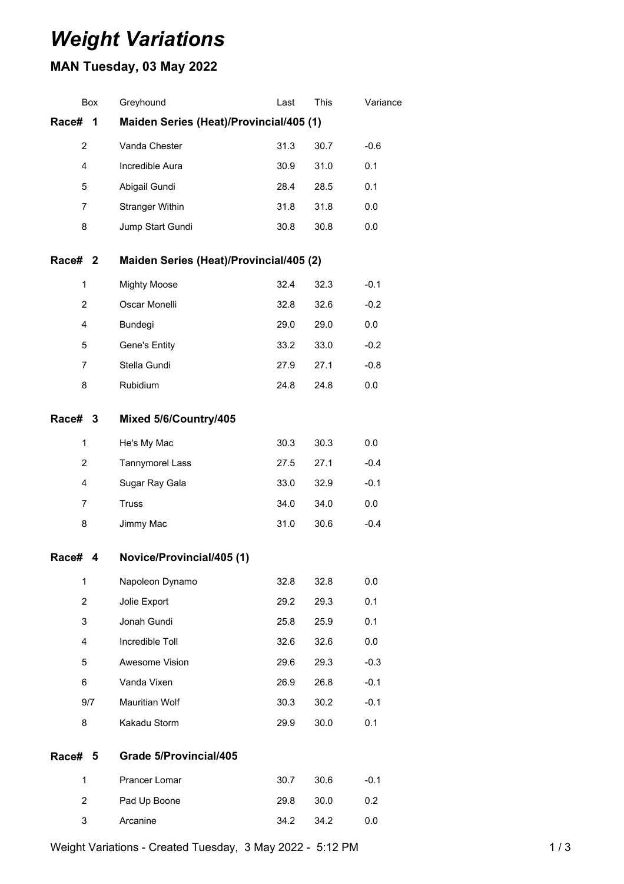## *Weight Variations*

## **MAN Tuesday, 03 May 2022**

| Box                                                   | Greyhound                 | Last | This | Variance |  |  |
|-------------------------------------------------------|---------------------------|------|------|----------|--|--|
| Maiden Series (Heat)/Provincial/405 (1)<br>Race#<br>1 |                           |      |      |          |  |  |
|                                                       | Vanda Chester             | 31.3 | 30.7 | $-0.6$   |  |  |
|                                                       | Incredible Aura           | 30.9 | 31.0 | 0.1      |  |  |
|                                                       | Abigail Gundi             | 28.4 | 28.5 | 0.1      |  |  |
|                                                       | <b>Stranger Within</b>    | 31.8 | 31.8 | 0.0      |  |  |
|                                                       | Jump Start Gundi          | 30.8 | 30.8 | 0.0      |  |  |
| Maiden Series (Heat)/Provincial/405 (2)<br>Race# 2    |                           |      |      |          |  |  |
|                                                       | <b>Mighty Moose</b>       | 32.4 | 32.3 | $-0.1$   |  |  |
|                                                       | Oscar Monelli             | 32.8 | 32.6 | $-0.2$   |  |  |
|                                                       | Bundegi                   | 29.0 | 29.0 | 0.0      |  |  |
|                                                       | Gene's Entity             | 33.2 | 33.0 | $-0.2$   |  |  |
|                                                       | Stella Gundi              | 27.9 | 27.1 | $-0.8$   |  |  |
|                                                       | Rubidium                  | 24.8 | 24.8 | 0.0      |  |  |
| Race# 3                                               | Mixed 5/6/Country/405     |      |      |          |  |  |
|                                                       | He's My Mac               | 30.3 | 30.3 | 0.0      |  |  |
|                                                       | Tannymorel Lass           | 27.5 | 27.1 | $-0.4$   |  |  |
|                                                       | Sugar Ray Gala            | 33.0 | 32.9 | $-0.1$   |  |  |
|                                                       | <b>Truss</b>              | 34.0 | 34.0 | 0.0      |  |  |
|                                                       | Jimmy Mac                 | 31.0 | 30.6 | $-0.4$   |  |  |
| 4                                                     | Novice/Provincial/405 (1) |      |      |          |  |  |
|                                                       | Napoleon Dynamo           | 32.8 | 32.8 | 0.0      |  |  |
|                                                       | Jolie Export              | 29.2 | 29.3 | 0.1      |  |  |
|                                                       | Jonah Gundi               | 25.8 | 25.9 | 0.1      |  |  |
|                                                       | Incredible Toll           | 32.6 | 32.6 | 0.0      |  |  |
|                                                       | Awesome Vision            | 29.6 | 29.3 | $-0.3$   |  |  |
|                                                       | Vanda Vixen               | 26.9 | 26.8 | $-0.1$   |  |  |
| 9/7                                                   | Mauritian Wolf            | 30.3 | 30.2 | $-0.1$   |  |  |
|                                                       | Kakadu Storm              | 29.9 | 30.0 | 0.1      |  |  |
| 5                                                     | Grade 5/Provincial/405    |      |      |          |  |  |
|                                                       | Prancer Lomar             | 30.7 | 30.6 | $-0.1$   |  |  |
|                                                       | Pad Up Boone              | 29.8 | 30.0 | 0.2      |  |  |
|                                                       | Arcanine                  | 34.2 | 34.2 | 0.0      |  |  |
|                                                       |                           |      |      |          |  |  |

Weight Variations - Created Tuesday, 3 May 2022 - 5:12 PM 1 1 1 1 1 1 1 1 3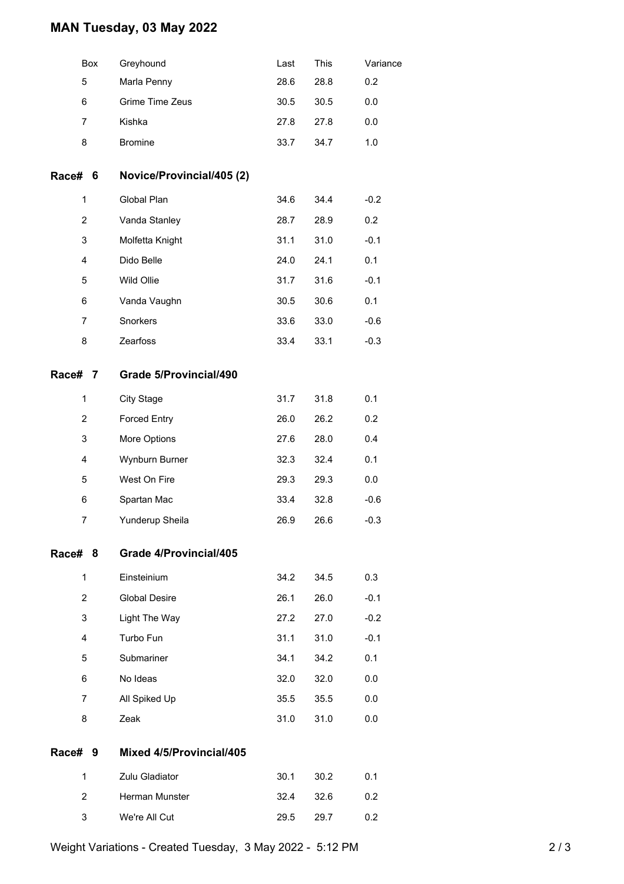## **MAN Tuesday, 03 May 2022**

| Box            | Greyhound                     | Last | This | Variance |
|----------------|-------------------------------|------|------|----------|
| 5              | Marla Penny                   | 28.6 | 28.8 | 0.2      |
| 6              | Grime Time Zeus               | 30.5 | 30.5 | 0.0      |
| $\overline{7}$ | Kishka                        | 27.8 | 27.8 | 0.0      |
| 8              | <b>Bromine</b>                | 33.7 | 34.7 | 1.0      |
| Race# 6        | Novice/Provincial/405 (2)     |      |      |          |
| $\mathbf{1}$   | Global Plan                   | 34.6 | 34.4 | $-0.2$   |
| $\overline{c}$ | Vanda Stanley                 | 28.7 | 28.9 | 0.2      |
| 3              | Molfetta Knight               | 31.1 | 31.0 | $-0.1$   |
| 4              | Dido Belle                    | 24.0 | 24.1 | 0.1      |
| 5              | Wild Ollie                    | 31.7 | 31.6 | $-0.1$   |
| 6              | Vanda Vaughn                  | 30.5 | 30.6 | 0.1      |
| 7              | Snorkers                      | 33.6 | 33.0 | $-0.6$   |
| 8              | Zearfoss                      | 33.4 | 33.1 | $-0.3$   |
| Race# 7        | <b>Grade 5/Provincial/490</b> |      |      |          |
| 1              | <b>City Stage</b>             | 31.7 | 31.8 | 0.1      |
| 2              | <b>Forced Entry</b>           | 26.0 | 26.2 | 0.2      |
| 3              | More Options                  | 27.6 | 28.0 | 0.4      |
| 4              | Wynburn Burner                | 32.3 | 32.4 | 0.1      |
| 5              | West On Fire                  | 29.3 | 29.3 | 0.0      |
| 6              | Spartan Mac                   | 33.4 | 32.8 | $-0.6$   |
| 7              | Yunderup Sheila               | 26.9 | 26.6 | $-0.3$   |
| Race# 8        | Grade 4/Provincial/405        |      |      |          |
| $\mathbf{1}$   | Einsteinium                   | 34.2 | 34.5 | 0.3      |
| $\overline{2}$ | <b>Global Desire</b>          | 26.1 | 26.0 | $-0.1$   |
| 3              | Light The Way                 | 27.2 | 27.0 | $-0.2$   |
| 4              | Turbo Fun                     | 31.1 | 31.0 | $-0.1$   |
| 5              | Submariner                    | 34.1 | 34.2 | 0.1      |
| 6              | No Ideas                      | 32.0 | 32.0 | 0.0      |
| 7              | All Spiked Up                 | 35.5 | 35.5 | 0.0      |
| 8              | Zeak                          | 31.0 | 31.0 | 0.0      |
| Race# 9        | Mixed 4/5/Provincial/405      |      |      |          |
| $\mathbf{1}$   | Zulu Gladiator                | 30.1 | 30.2 | 0.1      |
| $\overline{2}$ | Herman Munster                | 32.4 | 32.6 | 0.2      |
| 3              | We're All Cut                 | 29.5 | 29.7 | 0.2      |
|                |                               |      |      |          |

Weight Variations - Created Tuesday, 3 May 2022 - 5:12 PM 2 / 3